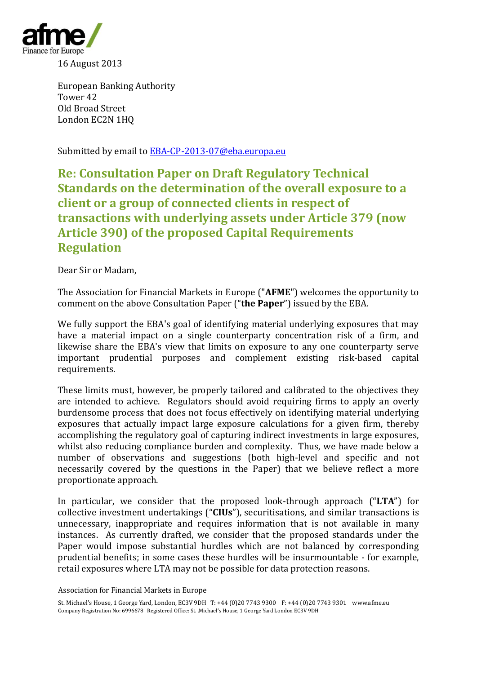

European Banking Authority Tower 42 Old Broad Street London EC2N 1HQ

Submitted by email to [EBA-CP-2013-07@eba.europa.eu](mailto:EBA-CP-2013-07@eba.europa.eu)

**Re: Consultation Paper on Draft Regulatory Technical Standards on the determination of the overall exposure to a client or a group of connected clients in respect of transactions with underlying assets under Article 379 (now Article 390) of the proposed Capital Requirements Regulation**

Dear Sir or Madam,

The Association for Financial Markets in Europe ("**AFME**") welcomes the opportunity to comment on the above Consultation Paper ("**the Paper**") issued by the EBA.

We fully support the EBA's goal of identifying material underlying exposures that may have a material impact on a single counterparty concentration risk of a firm, and likewise share the EBA's view that limits on exposure to any one counterparty serve important prudential purposes and complement existing risk-based capital requirements.

These limits must, however, be properly tailored and calibrated to the objectives they are intended to achieve. Regulators should avoid requiring firms to apply an overly burdensome process that does not focus effectively on identifying material underlying exposures that actually impact large exposure calculations for a given firm, thereby accomplishing the regulatory goal of capturing indirect investments in large exposures, whilst also reducing compliance burden and complexity. Thus, we have made below a number of observations and suggestions (both high-level and specific and not necessarily covered by the questions in the Paper) that we believe reflect a more proportionate approach.

In particular, we consider that the proposed look-through approach ("**LTA**") for collective investment undertakings ("**CIUs**"), securitisations, and similar transactions is unnecessary, inappropriate and requires information that is not available in many instances. As currently drafted, we consider that the proposed standards under the Paper would impose substantial hurdles which are not balanced by corresponding prudential benefits; in some cases these hurdles will be insurmountable - for example, retail exposures where LTA may not be possible for data protection reasons.

Association for Financial Markets in Europe

St. Michael's House, 1 George Yard, London, EC3V 9DH T: +44 (0)20 7743 9300 F: +44 (0)20 7743 9301 www.afme.eu Company Registration No: 6996678 Registered Office: St. .Michael's House, 1 George Yard London EC3V 9DH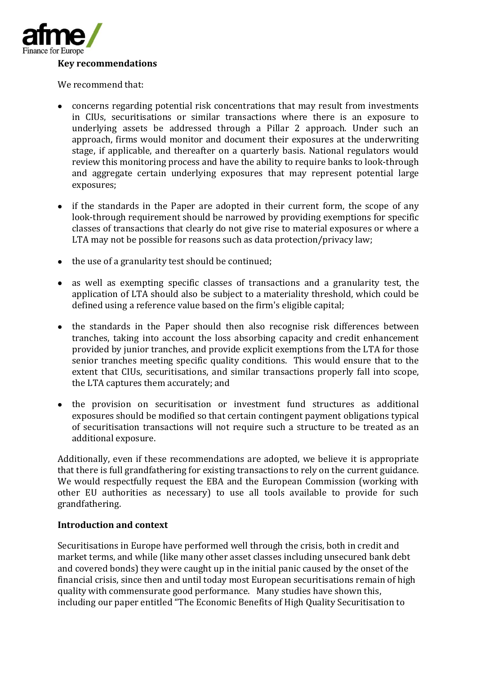

#### **Key recommendations**

We recommend that:

- concerns regarding potential risk concentrations that may result from investments in CIUs, securitisations or similar transactions where there is an exposure to underlying assets be addressed through a Pillar 2 approach. Under such an approach, firms would monitor and document their exposures at the underwriting stage, if applicable, and thereafter on a quarterly basis. National regulators would review this monitoring process and have the ability to require banks to look-through and aggregate certain underlying exposures that may represent potential large exposures;
- if the standards in the Paper are adopted in their current form, the scope of any look-through requirement should be narrowed by providing exemptions for specific classes of transactions that clearly do not give rise to material exposures or where a LTA may not be possible for reasons such as data protection/privacy law;
- the use of a granularity test should be continued;
- as well as exempting specific classes of transactions and a granularity test, the application of LTA should also be subject to a materiality threshold, which could be defined using a reference value based on the firm's eligible capital;
- the standards in the Paper should then also recognise risk differences between tranches, taking into account the loss absorbing capacity and credit enhancement provided by junior tranches, and provide explicit exemptions from the LTA for those senior tranches meeting specific quality conditions. This would ensure that to the extent that CIUs, securitisations, and similar transactions properly fall into scope, the LTA captures them accurately; and
- the provision on securitisation or investment fund structures as additional exposures should be modified so that certain contingent payment obligations typical of securitisation transactions will not require such a structure to be treated as an additional exposure.

Additionally, even if these recommendations are adopted, we believe it is appropriate that there is full grandfathering for existing transactions to rely on the current guidance. We would respectfully request the EBA and the European Commission (working with other EU authorities as necessary) to use all tools available to provide for such grandfathering.

#### **Introduction and context**

Securitisations in Europe have performed well through the crisis, both in credit and market terms, and while (like many other asset classes including unsecured bank debt and covered bonds) they were caught up in the initial panic caused by the onset of the financial crisis, since then and until today most European securitisations remain of high quality with commensurate good performance. Many studies have shown this, including our paper entitled "The Economic Benefits of High Quality Securitisation to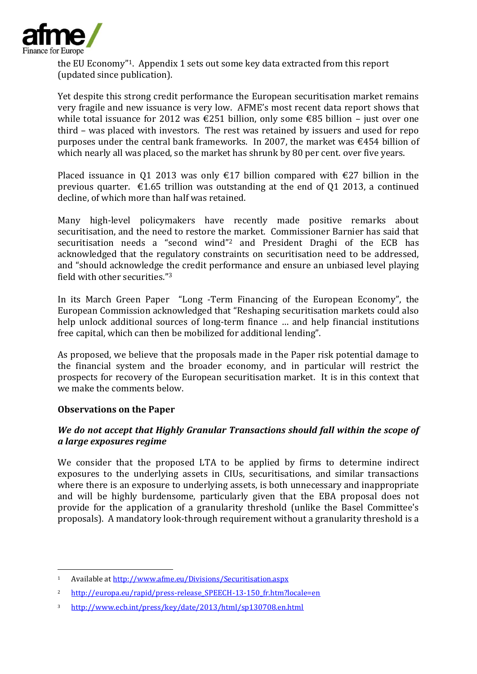

the EU Economy"1. Appendix 1 sets out some key data extracted from this report (updated since publication).

Yet despite this strong credit performance the European securitisation market remains very fragile and new issuance is very low. AFME's most recent data report shows that while total issuance for 2012 was €251 billion, only some €85 billion – just over one third – was placed with investors. The rest was retained by issuers and used for repo purposes under the central bank frameworks. In 2007, the market was  $\epsilon$ 454 billion of which nearly all was placed, so the market has shrunk by 80 per cent. over five years.

Placed issuance in Q1 2013 was only  $\epsilon$ 17 billion compared with  $\epsilon$ 27 billion in the previous quarter.  $\epsilon$ 1.65 trillion was outstanding at the end of 01 2013, a continued decline, of which more than half was retained.

Many high-level policymakers have recently made positive remarks about securitisation, and the need to restore the market. Commissioner Barnier has said that securitisation needs a "second wind"<sup>2</sup> and President Draghi of the ECB has acknowledged that the regulatory constraints on securitisation need to be addressed, and "should acknowledge the credit performance and ensure an unbiased level playing field with other securities."<sup>3</sup>

In its March Green Paper "Long -Term Financing of the European Economy", the European Commission acknowledged that "Reshaping securitisation markets could also help unlock additional sources of long-term finance … and help financial institutions free capital, which can then be mobilized for additional lending".

As proposed, we believe that the proposals made in the Paper risk potential damage to the financial system and the broader economy, and in particular will restrict the prospects for recovery of the European securitisation market. It is in this context that we make the comments below.

#### **Observations on the Paper**

1

# *We do not accept that Highly Granular Transactions should fall within the scope of a large exposures regime*

We consider that the proposed LTA to be applied by firms to determine indirect exposures to the underlying assets in CIUs, securitisations, and similar transactions where there is an exposure to underlying assets, is both unnecessary and inappropriate and will be highly burdensome, particularly given that the EBA proposal does not provide for the application of a granularity threshold (unlike the Basel Committee's proposals). A mandatory look-through requirement without a granularity threshold is a

<sup>1</sup> Available a[t http://www.afme.eu/Divisions/Securitisation.aspx](http://www.afme.eu/Divisions/Securitisation.aspx)

<sup>2</sup> [http://europa.eu/rapid/press-release\\_SPEECH-13-150\\_fr.htm?locale=en](http://europa.eu/rapid/press-release_SPEECH-13-150_fr.htm?locale=en)

<sup>3</sup> <http://www.ecb.int/press/key/date/2013/html/sp130708.en.html>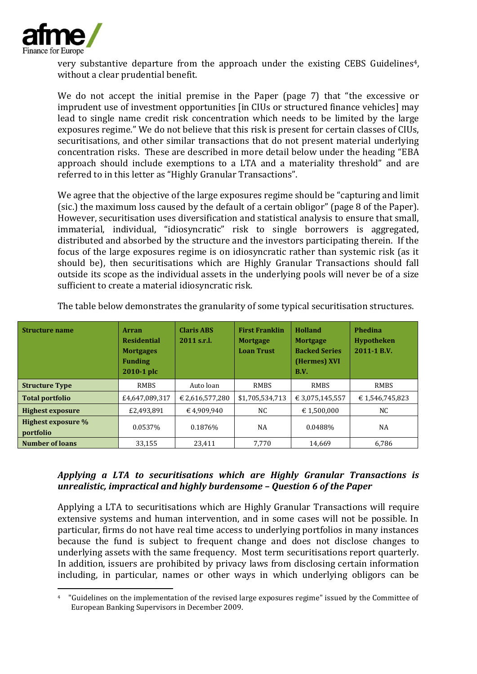

very substantive departure from the approach under the existing CEBS Guidelines<sup>4</sup>, without a clear prudential benefit.

We do not accept the initial premise in the Paper (page 7) that "the excessive or imprudent use of investment opportunities [in CIUs or structured finance vehicles] may lead to single name credit risk concentration which needs to be limited by the large exposures regime." We do not believe that this risk is present for certain classes of CIUs, securitisations, and other similar transactions that do not present material underlying concentration risks. These are described in more detail below under the heading "EBA approach should include exemptions to a LTA and a materiality threshold" and are referred to in this letter as "Highly Granular Transactions".

We agree that the objective of the large exposures regime should be "capturing and limit (sic.) the maximum loss caused by the default of a certain obligor" (page 8 of the Paper). However, securitisation uses diversification and statistical analysis to ensure that small, immaterial, individual, "idiosyncratic" risk to single borrowers is aggregated, distributed and absorbed by the structure and the investors participating therein. If the focus of the large exposures regime is on idiosyncratic rather than systemic risk (as it should be), then securitisations which are Highly Granular Transactions should fall outside its scope as the individual assets in the underlying pools will never be of a size sufficient to create a material idiosyncratic risk.

| <b>Structure name</b>           | <b>Arran</b><br><b>Residential</b><br><b>Mortgages</b><br><b>Funding</b><br>2010-1 plc | <b>Claris ABS</b><br>2011 s.r.l. | <b>First Franklin</b><br><b>Mortgage</b><br><b>Loan Trust</b> | Holland<br><b>Mortgage</b><br><b>Backed Series</b><br>(Hermes) XVI<br><b>B.V.</b> | Phedina<br><b>Hypotheken</b><br>2011-1 B.V. |  |
|---------------------------------|----------------------------------------------------------------------------------------|----------------------------------|---------------------------------------------------------------|-----------------------------------------------------------------------------------|---------------------------------------------|--|
| <b>Structure Type</b>           | <b>RMBS</b>                                                                            | Auto loan                        | RMBS                                                          | <b>RMBS</b>                                                                       | <b>RMBS</b>                                 |  |
| <b>Total portfolio</b>          | £4,647,089,317                                                                         | € 2,616,577,280                  | \$1,705,534,713                                               | € 3,075,145,557                                                                   | €1,546,745,823                              |  |
| <b>Highest exposure</b>         | £2.493.891                                                                             | €4.909.940                       | NC.                                                           | € 1.500.000                                                                       | NC.                                         |  |
| Highest exposure %<br>portfolio | 0.0537%                                                                                | 0.1876%                          | NA                                                            | 0.0488%                                                                           | NA                                          |  |
| <b>Number of loans</b>          | 33.155                                                                                 | 23.411                           | 7.770                                                         | 14.669                                                                            | 6,786                                       |  |

The table below demonstrates the granularity of some typical securitisation structures.

# *Applying a LTA to securitisations which are Highly Granular Transactions is unrealistic, impractical and highly burdensome – Question 6 of the Paper*

Applying a LTA to securitisations which are Highly Granular Transactions will require extensive systems and human intervention, and in some cases will not be possible. In particular, firms do not have real time access to underlying portfolios in many instances because the fund is subject to frequent change and does not disclose changes to underlying assets with the same frequency. Most term securitisations report quarterly. In addition, issuers are prohibited by privacy laws from disclosing certain information including, in particular, names or other ways in which underlying obligors can be

<sup>-</sup><sup>4</sup> "Guidelines on the implementation of the revised large exposures regime" issued by the Committee of European Banking Supervisors in December 2009.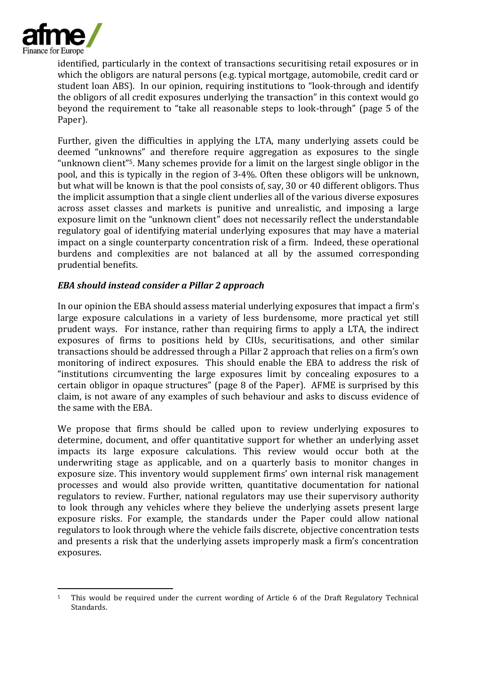

identified, particularly in the context of transactions securitising retail exposures or in which the obligors are natural persons (e.g. typical mortgage, automobile, credit card or student loan ABS). In our opinion, requiring institutions to "look-through and identify the obligors of all credit exposures underlying the transaction" in this context would go beyond the requirement to "take all reasonable steps to look-through" (page 5 of the Paper).

Further, given the difficulties in applying the LTA, many underlying assets could be deemed "unknowns" and therefore require aggregation as exposures to the single "unknown client"5. Many schemes provide for a limit on the largest single obligor in the pool, and this is typically in the region of 3-4%. Often these obligors will be unknown, but what will be known is that the pool consists of, say, 30 or 40 different obligors. Thus the implicit assumption that a single client underlies all of the various diverse exposures across asset classes and markets is punitive and unrealistic, and imposing a large exposure limit on the "unknown client" does not necessarily reflect the understandable regulatory goal of identifying material underlying exposures that may have a material impact on a single counterparty concentration risk of a firm. Indeed, these operational burdens and complexities are not balanced at all by the assumed corresponding prudential benefits.

# *EBA should instead consider a Pillar 2 approach*

In our opinion the EBA should assess material underlying exposures that impact a firm's large exposure calculations in a variety of less burdensome, more practical yet still prudent ways. For instance, rather than requiring firms to apply a LTA, the indirect exposures of firms to positions held by CIUs, securitisations, and other similar transactions should be addressed through a Pillar 2 approach that relies on a firm's own monitoring of indirect exposures. This should enable the EBA to address the risk of "institutions circumventing the large exposures limit by concealing exposures to a certain obligor in opaque structures" (page 8 of the Paper). AFME is surprised by this claim, is not aware of any examples of such behaviour and asks to discuss evidence of the same with the EBA.

We propose that firms should be called upon to review underlying exposures to determine, document, and offer quantitative support for whether an underlying asset impacts its large exposure calculations. This review would occur both at the underwriting stage as applicable, and on a quarterly basis to monitor changes in exposure size. This inventory would supplement firms' own internal risk management processes and would also provide written, quantitative documentation for national regulators to review. Further, national regulators may use their supervisory authority to look through any vehicles where they believe the underlying assets present large exposure risks. For example, the standards under the Paper could allow national regulators to look through where the vehicle fails discrete, objective concentration tests and presents a risk that the underlying assets improperly mask a firm's concentration exposures.

<sup>-</sup><sup>5</sup> This would be required under the current wording of Article 6 of the Draft Regulatory Technical Standards.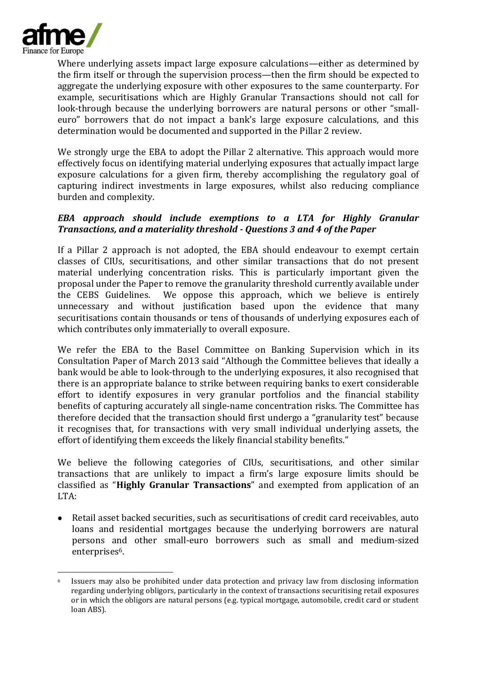

1

Where underlying assets impact large exposure calculations—either as determined by the firm itself or through the supervision process—then the firm should be expected to aggregate the underlying exposure with other exposures to the same counterparty. For example, securitisations which are Highly Granular Transactions should not call for look-through because the underlying borrowers are natural persons or other "smalleuro" borrowers that do not impact a bank's large exposure calculations, and this determination would be documented and supported in the Pillar 2 review.

We strongly urge the EBA to adopt the Pillar 2 alternative. This approach would more effectively focus on identifying material underlying exposures that actually impact large exposure calculations for a given firm, thereby accomplishing the regulatory goal of capturing indirect investments in large exposures, whilst also reducing compliance burden and complexity.

## *EBA approach should include exemptions to a LTA for Highly Granular Transactions, and a materiality threshold - Questions 3 and 4 of the Paper*

If a Pillar 2 approach is not adopted, the EBA should endeavour to exempt certain classes of CIUs, securitisations, and other similar transactions that do not present material underlying concentration risks. This is particularly important given the proposal under the Paper to remove the granularity threshold currently available under the CEBS Guidelines. We oppose this approach, which we believe is entirely unnecessary and without justification based upon the evidence that many securitisations contain thousands or tens of thousands of underlying exposures each of which contributes only immaterially to overall exposure.

We refer the EBA to the Basel Committee on Banking Supervision which in its Consultation Paper of March 2013 said "Although the Committee believes that ideally a bank would be able to look-through to the underlying exposures, it also recognised that there is an appropriate balance to strike between requiring banks to exert considerable effort to identify exposures in very granular portfolios and the financial stability benefits of capturing accurately all single-name concentration risks. The Committee has therefore decided that the transaction should first undergo a "granularity test" because it recognises that, for transactions with very small individual underlying assets, the effort of identifying them exceeds the likely financial stability benefits."

We believe the following categories of CIUs, securitisations, and other similar transactions that are unlikely to impact a firm's large exposure limits should be classified as "**Highly Granular Transactions**" and exempted from application of an LTA:

Retail asset backed securities, such as securitisations of credit card receivables, auto loans and residential mortgages because the underlying borrowers are natural persons and other small-euro borrowers such as small and medium-sized enterprises<sup>6</sup>.

<sup>6</sup> Issuers may also be prohibited under data protection and privacy law from disclosing information regarding underlying obligors, particularly in the context of transactions securitising retail exposures or in which the obligors are natural persons (e.g. typical mortgage, automobile, credit card or student loan ABS).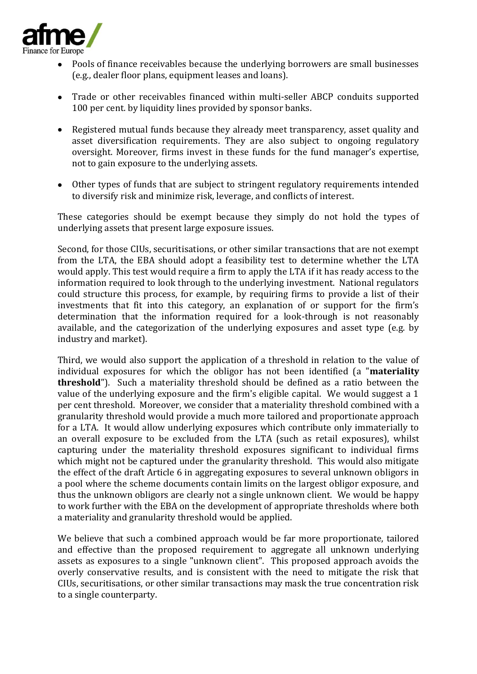

- Pools of finance receivables because the underlying borrowers are small businesses (e.g., dealer floor plans, equipment leases and loans).
- Trade or other receivables financed within multi-seller ABCP conduits supported 100 per cent. by liquidity lines provided by sponsor banks.
- Registered mutual funds because they already meet transparency, asset quality and asset diversification requirements. They are also subject to ongoing regulatory oversight. Moreover, firms invest in these funds for the fund manager's expertise, not to gain exposure to the underlying assets.
- Other types of funds that are subject to stringent regulatory requirements intended to diversify risk and minimize risk, leverage, and conflicts of interest.

These categories should be exempt because they simply do not hold the types of underlying assets that present large exposure issues.

Second, for those CIUs, securitisations, or other similar transactions that are not exempt from the LTA, the EBA should adopt a feasibility test to determine whether the LTA would apply. This test would require a firm to apply the LTA if it has ready access to the information required to look through to the underlying investment. National regulators could structure this process, for example, by requiring firms to provide a list of their investments that fit into this category, an explanation of or support for the firm's determination that the information required for a look-through is not reasonably available, and the categorization of the underlying exposures and asset type (e.g. by industry and market).

Third, we would also support the application of a threshold in relation to the value of individual exposures for which the obligor has not been identified (a "**materiality threshold**"). Such a materiality threshold should be defined as a ratio between the value of the underlying exposure and the firm's eligible capital. We would suggest a 1 per cent threshold. Moreover, we consider that a materiality threshold combined with a granularity threshold would provide a much more tailored and proportionate approach for a LTA. It would allow underlying exposures which contribute only immaterially to an overall exposure to be excluded from the LTA (such as retail exposures), whilst capturing under the materiality threshold exposures significant to individual firms which might not be captured under the granularity threshold. This would also mitigate the effect of the draft Article 6 in aggregating exposures to several unknown obligors in a pool where the scheme documents contain limits on the largest obligor exposure, and thus the unknown obligors are clearly not a single unknown client. We would be happy to work further with the EBA on the development of appropriate thresholds where both a materiality and granularity threshold would be applied.

We believe that such a combined approach would be far more proportionate, tailored and effective than the proposed requirement to aggregate all unknown underlying assets as exposures to a single "unknown client". This proposed approach avoids the overly conservative results, and is consistent with the need to mitigate the risk that CIUs, securitisations, or other similar transactions may mask the true concentration risk to a single counterparty.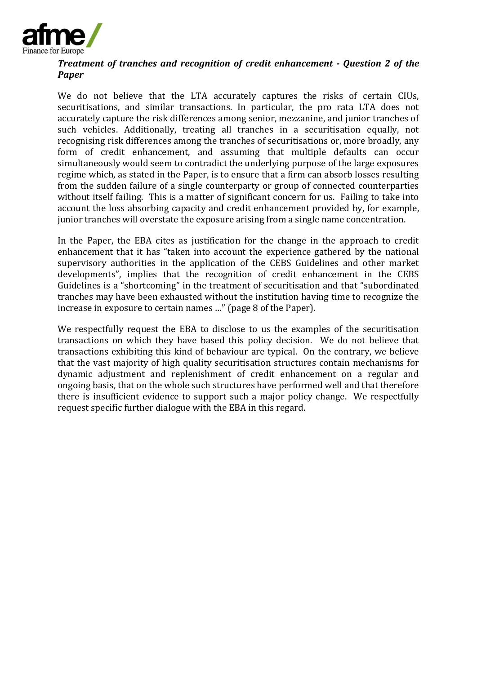

#### *Treatment of tranches and recognition of credit enhancement - Question 2 of the Paper*

We do not believe that the LTA accurately captures the risks of certain CIUs, securitisations, and similar transactions. In particular, the pro rata LTA does not accurately capture the risk differences among senior, mezzanine, and junior tranches of such vehicles. Additionally, treating all tranches in a securitisation equally, not recognising risk differences among the tranches of securitisations or, more broadly, any form of credit enhancement, and assuming that multiple defaults can occur simultaneously would seem to contradict the underlying purpose of the large exposures regime which, as stated in the Paper, is to ensure that a firm can absorb losses resulting from the sudden failure of a single counterparty or group of connected counterparties without itself failing. This is a matter of significant concern for us. Failing to take into account the loss absorbing capacity and credit enhancement provided by, for example, junior tranches will overstate the exposure arising from a single name concentration.

In the Paper, the EBA cites as justification for the change in the approach to credit enhancement that it has "taken into account the experience gathered by the national supervisory authorities in the application of the CEBS Guidelines and other market developments", implies that the recognition of credit enhancement in the CEBS Guidelines is a "shortcoming" in the treatment of securitisation and that "subordinated tranches may have been exhausted without the institution having time to recognize the increase in exposure to certain names …" (page 8 of the Paper).

We respectfully request the EBA to disclose to us the examples of the securitisation transactions on which they have based this policy decision. We do not believe that transactions exhibiting this kind of behaviour are typical. On the contrary, we believe that the vast majority of high quality securitisation structures contain mechanisms for dynamic adjustment and replenishment of credit enhancement on a regular and ongoing basis, that on the whole such structures have performed well and that therefore there is insufficient evidence to support such a major policy change. We respectfully request specific further dialogue with the EBA in this regard.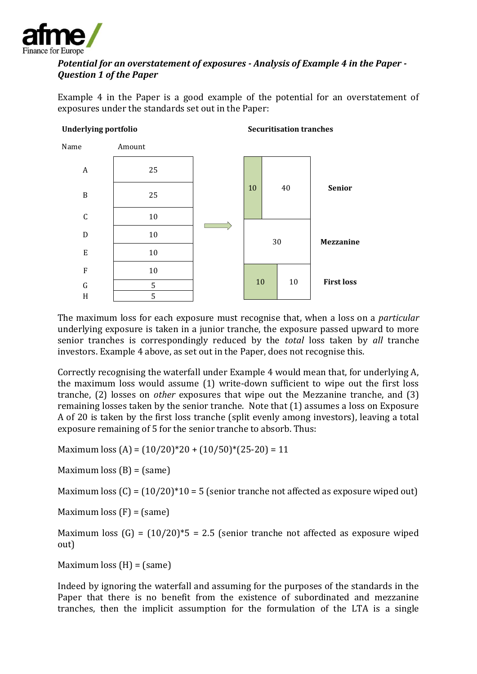

# *Potential for an overstatement of exposures - Analysis of Example 4 in the Paper - Question 1 of the Paper*

Example 4 in the Paper is a good example of the potential for an overstatement of exposures under the standards set out in the Paper:

#### **Underlying portfolio**

**Securitisation tranches**



The maximum loss for each exposure must recognise that, when a loss on a *particular* underlying exposure is taken in a junior tranche, the exposure passed upward to more senior tranches is correspondingly reduced by the *total* loss taken by *all* tranche investors. Example 4 above, as set out in the Paper, does not recognise this.

Correctly recognising the waterfall under Example 4 would mean that, for underlying A, the maximum loss would assume (1) write-down sufficient to wipe out the first loss tranche, (2) losses on *other* exposures that wipe out the Mezzanine tranche, and (3) remaining losses taken by the senior tranche. Note that (1) assumes a loss on Exposure A of 20 is taken by the first loss tranche (split evenly among investors), leaving a total exposure remaining of 5 for the senior tranche to absorb. Thus:

Maximum loss  $(A) = (10/20)^*20 + (10/50)^*(25-20) = 11$ 

Maximum loss  $(B) = (same)$ 

Maximum loss  $(C) = (10/20)^*10 = 5$  (senior tranche not affected as exposure wiped out)

Maximum loss  $(F) = (same)$ 

Maximum loss  $(G) = (10/20)^*5 = 2.5$  (senior tranche not affected as exposure wiped out)

Maximum loss  $(H) = (same)$ 

Indeed by ignoring the waterfall and assuming for the purposes of the standards in the Paper that there is no benefit from the existence of subordinated and mezzanine tranches, then the implicit assumption for the formulation of the LTA is a single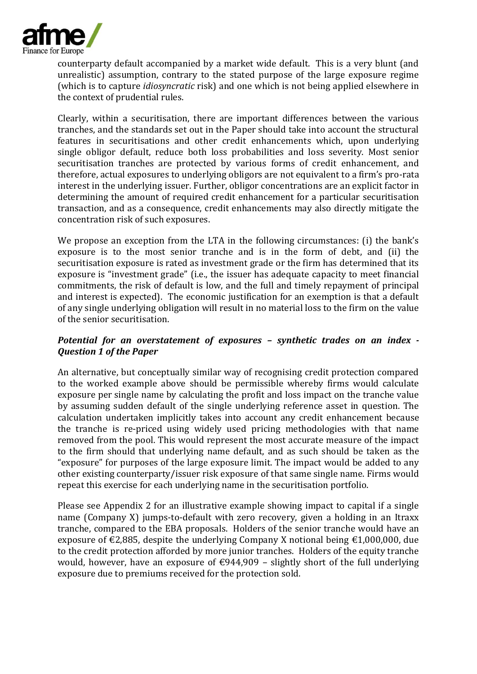

counterparty default accompanied by a market wide default. This is a very blunt (and unrealistic) assumption, contrary to the stated purpose of the large exposure regime (which is to capture *idiosyncratic* risk) and one which is not being applied elsewhere in the context of prudential rules.

Clearly, within a securitisation, there are important differences between the various tranches, and the standards set out in the Paper should take into account the structural features in securitisations and other credit enhancements which, upon underlying single obligor default, reduce both loss probabilities and loss severity. Most senior securitisation tranches are protected by various forms of credit enhancement, and therefore, actual exposures to underlying obligors are not equivalent to a firm's pro-rata interest in the underlying issuer. Further, obligor concentrations are an explicit factor in determining the amount of required credit enhancement for a particular securitisation transaction, and as a consequence, credit enhancements may also directly mitigate the concentration risk of such exposures.

We propose an exception from the LTA in the following circumstances: (i) the bank's exposure is to the most senior tranche and is in the form of debt, and (ii) the securitisation exposure is rated as investment grade or the firm has determined that its exposure is "investment grade" (i.e., the issuer has adequate capacity to meet financial commitments, the risk of default is low, and the full and timely repayment of principal and interest is expected). The economic justification for an exemption is that a default of any single underlying obligation will result in no material loss to the firm on the value of the senior securitisation.

# *Potential for an overstatement of exposures – synthetic trades on an index - Question 1 of the Paper*

An alternative, but conceptually similar way of recognising credit protection compared to the worked example above should be permissible whereby firms would calculate exposure per single name by calculating the profit and loss impact on the tranche value by assuming sudden default of the single underlying reference asset in question. The calculation undertaken implicitly takes into account any credit enhancement because the tranche is re-priced using widely used pricing methodologies with that name removed from the pool. This would represent the most accurate measure of the impact to the firm should that underlying name default, and as such should be taken as the "exposure" for purposes of the large exposure limit. The impact would be added to any other existing counterparty/issuer risk exposure of that same single name. Firms would repeat this exercise for each underlying name in the securitisation portfolio.

Please see Appendix 2 for an illustrative example showing impact to capital if a single name (Company X) jumps-to-default with zero recovery, given a holding in an Itraxx tranche, compared to the EBA proposals. Holders of the senior tranche would have an exposure of  $\epsilon$ 2,885, despite the underlying Company X notional being  $\epsilon$ 1,000,000, due to the credit protection afforded by more junior tranches. Holders of the equity tranche would, however, have an exposure of  $\epsilon$ 944,909 – slightly short of the full underlying exposure due to premiums received for the protection sold.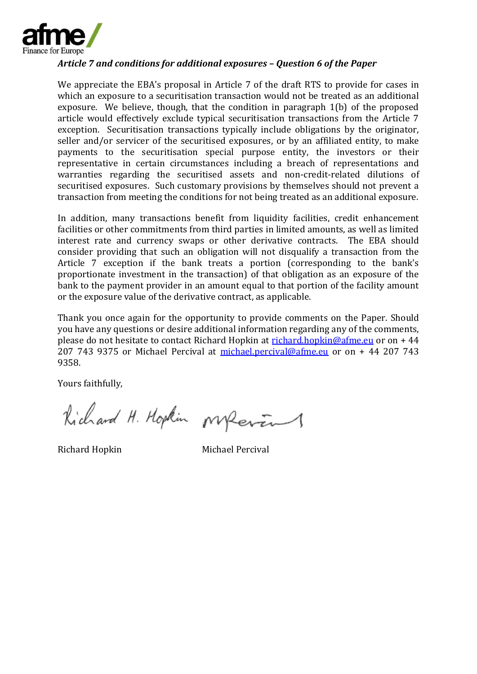

#### *Article 7 and conditions for additional exposures – Question 6 of the Paper*

We appreciate the EBA's proposal in Article 7 of the draft RTS to provide for cases in which an exposure to a securitisation transaction would not be treated as an additional exposure. We believe, though, that the condition in paragraph 1(b) of the proposed article would effectively exclude typical securitisation transactions from the Article 7 exception. Securitisation transactions typically include obligations by the originator, seller and/or servicer of the securitised exposures, or by an affiliated entity, to make payments to the securitisation special purpose entity, the investors or their representative in certain circumstances including a breach of representations and warranties regarding the securitised assets and non-credit-related dilutions of securitised exposures. Such customary provisions by themselves should not prevent a transaction from meeting the conditions for not being treated as an additional exposure.

In addition, many transactions benefit from liquidity facilities, credit enhancement facilities or other commitments from third parties in limited amounts, as well as limited interest rate and currency swaps or other derivative contracts. The EBA should consider providing that such an obligation will not disqualify a transaction from the Article 7 exception if the bank treats a portion (corresponding to the bank's proportionate investment in the transaction) of that obligation as an exposure of the bank to the payment provider in an amount equal to that portion of the facility amount or the exposure value of the derivative contract, as applicable.

Thank you once again for the opportunity to provide comments on the Paper. Should you have any questions or desire additional information regarding any of the comments, please do not hesitate to contact Richard Hopkin at [richard.hopkin@afme.eu](mailto:richard.hopkin@afme.eu) or on + 44 207 743 9375 or Michael Percival at [michael.percival@afme.eu](mailto:michael.percival@afme.eu) or on + 44 207 743 9358.

Yours faithfully,

Kichard H. Hopkin Mperin

Richard Hopkin Michael Percival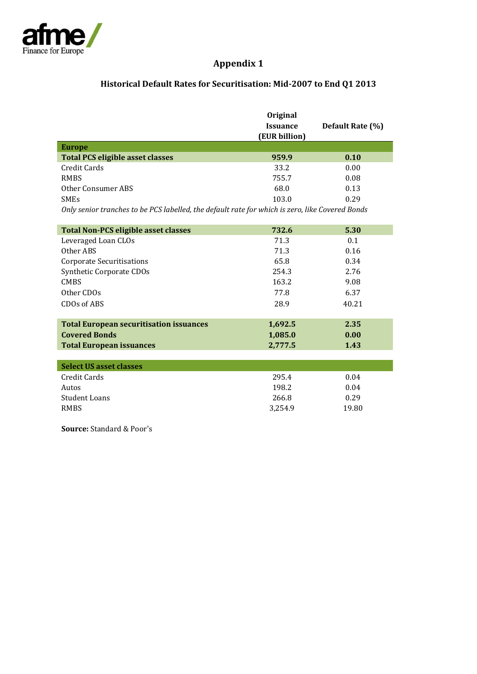

# **Appendix 1**

# **Historical Default Rates for Securitisation: Mid-2007 to End Q1 2013**

|                                                                                                 | Original        |                  |
|-------------------------------------------------------------------------------------------------|-----------------|------------------|
|                                                                                                 | <b>Issuance</b> | Default Rate (%) |
|                                                                                                 | (EUR billion)   |                  |
| <b>Europe</b>                                                                                   |                 |                  |
| <b>Total PCS eligible asset classes</b>                                                         | 959.9           | 0.10             |
| Credit Cards                                                                                    | 33.2            | 0.00             |
| <b>RMBS</b>                                                                                     | 755.7           | 0.08             |
| Other Consumer ABS                                                                              | 68.0            | 0.13             |
| <b>SMEs</b>                                                                                     | 103.0           | 0.29             |
| Only senior tranches to be PCS labelled, the default rate for which is zero, like Covered Bonds |                 |                  |
|                                                                                                 |                 |                  |
| <b>Total Non-PCS eligible asset classes</b>                                                     | 732.6           | 5.30             |
| Leveraged Loan CLOs                                                                             | 71.3            | 0.1              |
| Other ABS                                                                                       | 71.3            | 0.16             |
| <b>Corporate Securitisations</b>                                                                | 65.8            | 0.34             |
| Synthetic Corporate CDOs                                                                        | 254.3           | 2.76             |
| <b>CMBS</b>                                                                                     | 163.2           | 9.08             |
| Other CDOs                                                                                      | 77.8            | 6.37             |
| CDOs of ABS                                                                                     | 28.9            | 40.21            |
|                                                                                                 |                 |                  |
| <b>Total European securitisation issuances</b>                                                  | 1,692.5         | 2.35             |
| <b>Covered Bonds</b>                                                                            | 1,085.0         | 0.00             |
| <b>Total European issuances</b>                                                                 | 2,777.5         | 1.43             |
|                                                                                                 |                 |                  |

| Select US asset classes |         |       |
|-------------------------|---------|-------|
| Credit Cards            | 295.4   | 0.04  |
| Autos                   | 198.2   | 0.04  |
| Student Loans           | 266.8   | 0.29  |
| <b>RMBS</b>             | 3.254.9 | 19.80 |

**Source:** Standard & Poor's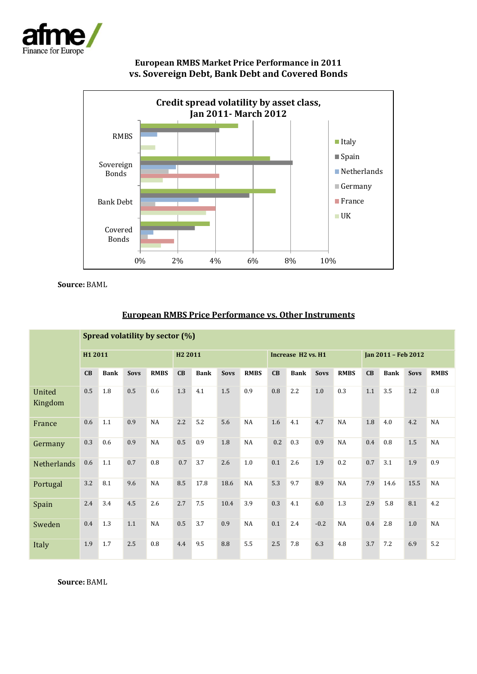





**Source:** BAML

|                    | Spread volatility by sector (%) |             |             |                     |           |             |                                            |             |     |             |                     |             |         |             |             |             |
|--------------------|---------------------------------|-------------|-------------|---------------------|-----------|-------------|--------------------------------------------|-------------|-----|-------------|---------------------|-------------|---------|-------------|-------------|-------------|
|                    | H1 2011                         |             |             | H <sub>2</sub> 2011 |           |             | Increase H <sub>2</sub> vs. H <sub>1</sub> |             |     |             | Jan 2011 - Feb 2012 |             |         |             |             |             |
|                    | CB                              | <b>Bank</b> | <b>Sovs</b> | <b>RMBS</b>         | CB        | <b>Bank</b> | <b>Sovs</b>                                | <b>RMBS</b> | CB  | <b>Bank</b> | <b>Sovs</b>         | <b>RMBS</b> | CB      | <b>Bank</b> | <b>Sovs</b> | <b>RMBS</b> |
| United<br>Kingdom  | 0.5                             | 1.8         | 0.5         | 0.6                 | 1.3       | 4.1         | 1.5                                        | 0.9         | 0.8 | 2.2         | 1.0                 | 0.3         | 1.1     | 3.5         | 1.2         | 0.8         |
| France             | 0.6                             | 1.1         | 0.9         | NA                  | 2.2       | 5.2         | 5.6                                        | NA          | 1.6 | 4.1         | 4.7                 | NA          | $1.8\,$ | 4.0         | 4.2         | NA          |
| Germany            | 0.3                             | 0.6         | 0.9         | NA                  | 0.5       | 0.9         | 1.8                                        | NA          | 0.2 | 0.3         | 0.9                 | NA          | 0.4     | 0.8         | $1.5\,$     | NA          |
| <b>Netherlands</b> | 0.6                             | 1.1         | 0.7         | 0.8                 | 0.7       | 3.7         | 2.6                                        | 1.0         | 0.1 | 2.6         | 1.9                 | 0.2         | 0.7     | 3.1         | 1.9         | 0.9         |
| Portugal           | 3.2                             | 8.1         | 9.6         | NA                  | $\!8.5\!$ | 17.8        | 18.6                                       | NA          | 5.3 | 9.7         | 8.9                 | NA          | 7.9     | 14.6        | 15.5        | NA          |
| Spain              | 2.4                             | 3.4         | 4.5         | 2.6                 | 2.7       | 7.5         | 10.4                                       | 3.9         | 0.3 | 4.1         | 6.0                 | 1.3         | 2.9     | 5.8         | 8.1         | 4.2         |
| Sweden             | 0.4                             | 1.3         | 1.1         | NA                  | 0.5       | 3.7         | 0.9                                        | NA          | 0.1 | 2.4         | $-0.2$              | NA          | 0.4     | 2.8         | 1.0         | NA          |
| Italy              | 1.9                             | 1.7         | 2.5         | 0.8                 | 4.4       | 9.5         | 8.8                                        | 5.5         | 2.5 | 7.8         | 6.3                 | 4.8         | 3.7     | 7.2         | 6.9         | 5.2         |

# **European RMBS Price Performance vs. Other Instruments**

**Source:** BAML